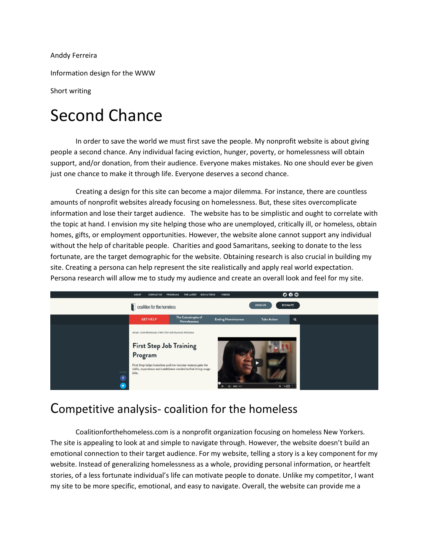Anddy Ferreira

Information design for the WWW

Short writing

## Second Chance

In order to save the world we must first save the people. My nonprofit website is about giving people a second chance. Any individual facing eviction, hunger, poverty, or homelessness will obtain support, and/or donation, from their audience. Everyone makes mistakes. No one should ever be given just one chance to make it through life. Everyone deserves a second chance.

Creating a design for this site can become a major dilemma. For instance, there are countless amounts of nonprofit websites already focusing on homelessness. But, these sites overcomplicate information and lose their target audience. The website has to be simplistic and ought to correlate with the topic at hand. I envision my site helping those who are unemployed, critically ill, or homeless, obtain homes, gifts, or employment opportunities. However, the website alone cannot support any individual without the help of charitable people. Charities and good Samaritans, seeking to donate to the less fortunate, are the target demographic for the website. Obtaining research is also crucial in building my site. Creating a persona can help represent the site realistically and apply real world expectation. Persona research will allow me to study my audience and create an overall look and feel for my site.



## Competitive analysis- coalition for the homeless

Coalitionforthehomeless.com is a nonprofit organization focusing on homeless New Yorkers. The site is appealing to look at and simple to navigate through. However, the website doesn't build an emotional connection to their target audience. For my website, telling a story is a key component for my website. Instead of generalizing homelessness as a whole, providing personal information, or heartfelt stories, of a less fortunate individual's life can motivate people to donate. Unlike my competitor, I want my site to be more specific, emotional, and easy to navigate. Overall, the website can provide me a